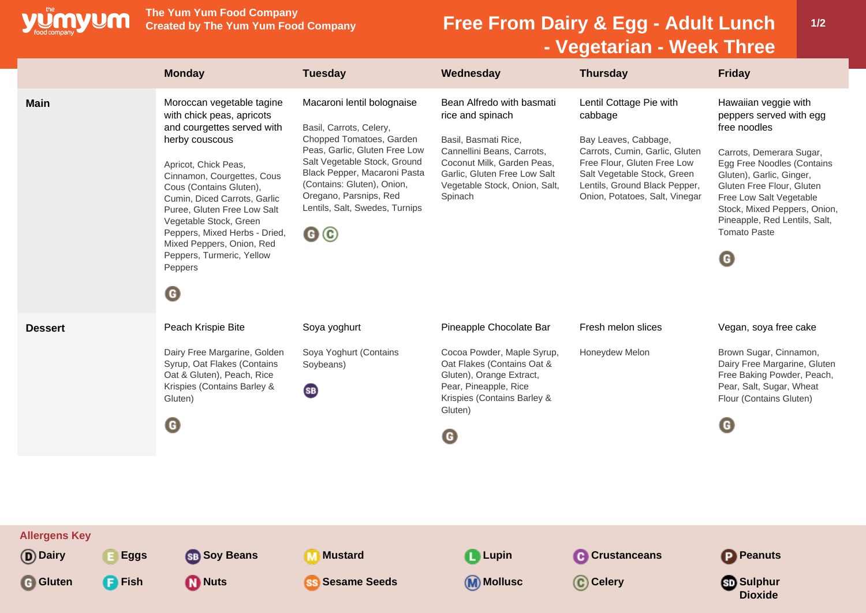

**The Yum Yum Food Company**

## **Free From Dairy & Egg - Adult Lunch - Vegetarian - Week Three**

|                                                  | <b>Monday</b>                                                                                                                                                                                                                                                                                                                                                                                       | <b>Tuesday</b>                                                                                                                                                                                                                                                                                            | Wednesday                                                                                                                                                                                                     | <b>Thursday</b>                                                                                                                                                                                                               | <b>Friday</b>                                                                                                                                                                                                                                                                                                             |
|--------------------------------------------------|-----------------------------------------------------------------------------------------------------------------------------------------------------------------------------------------------------------------------------------------------------------------------------------------------------------------------------------------------------------------------------------------------------|-----------------------------------------------------------------------------------------------------------------------------------------------------------------------------------------------------------------------------------------------------------------------------------------------------------|---------------------------------------------------------------------------------------------------------------------------------------------------------------------------------------------------------------|-------------------------------------------------------------------------------------------------------------------------------------------------------------------------------------------------------------------------------|---------------------------------------------------------------------------------------------------------------------------------------------------------------------------------------------------------------------------------------------------------------------------------------------------------------------------|
| <b>Main</b>                                      | Moroccan vegetable tagine<br>with chick peas, apricots<br>and courgettes served with<br>herby couscous<br>Apricot, Chick Peas,<br>Cinnamon, Courgettes, Cous<br>Cous (Contains Gluten),<br>Cumin, Diced Carrots, Garlic<br>Puree, Gluten Free Low Salt<br>Vegetable Stock, Green<br>Peppers, Mixed Herbs - Dried,<br>Mixed Peppers, Onion, Red<br>Peppers, Turmeric, Yellow<br>Peppers<br>$\bullet$ | Macaroni lentil bolognaise<br>Basil, Carrots, Celery,<br>Chopped Tomatoes, Garden<br>Peas, Garlic, Gluten Free Low<br>Salt Vegetable Stock, Ground<br>Black Pepper, Macaroni Pasta<br>(Contains: Gluten), Onion,<br>Oregano, Parsnips, Red<br>Lentils, Salt, Swedes, Turnips<br>$\mathbf{G} \circledcirc$ | Bean Alfredo with basmati<br>rice and spinach<br>Basil, Basmati Rice,<br>Cannellini Beans, Carrots,<br>Coconut Milk, Garden Peas,<br>Garlic, Gluten Free Low Salt<br>Vegetable Stock, Onion, Salt,<br>Spinach | Lentil Cottage Pie with<br>cabbage<br>Bay Leaves, Cabbage,<br>Carrots, Cumin, Garlic, Gluten<br>Free Flour, Gluten Free Low<br>Salt Vegetable Stock, Green<br>Lentils, Ground Black Pepper,<br>Onion, Potatoes, Salt, Vinegar | Hawaiian veggie with<br>peppers served with egg<br>free noodles<br>Carrots, Demerara Sugar,<br>Egg Free Noodles (Contains<br>Gluten), Garlic, Ginger,<br>Gluten Free Flour, Gluten<br>Free Low Salt Vegetable<br>Stock, Mixed Peppers, Onion,<br>Pineapple, Red Lentils, Salt,<br><b>Tomato Paste</b><br>$\mathbf \Theta$ |
| <b>Dessert</b>                                   | Peach Krispie Bite<br>Dairy Free Margarine, Golden<br>Syrup, Oat Flakes (Contains<br>Oat & Gluten), Peach, Rice<br>Krispies (Contains Barley &<br>Gluten)<br>$\mathbf \Theta$                                                                                                                                                                                                                       | Soya yoghurt<br>Soya Yoghurt (Contains<br>Soybeans)<br><b>SB</b>                                                                                                                                                                                                                                          | Pineapple Chocolate Bar<br>Cocoa Powder, Maple Syrup,<br>Oat Flakes (Contains Oat &<br>Gluten), Orange Extract,<br>Pear, Pineapple, Rice<br>Krispies (Contains Barley &<br>Gluten)<br>O                       | Fresh melon slices<br>Honeydew Melon                                                                                                                                                                                          | Vegan, soya free cake<br>Brown Sugar, Cinnamon,<br>Dairy Free Margarine, Gluten<br>Free Baking Powder, Peach,<br>Pear, Salt, Sugar, Wheat<br>Flour (Contains Gluten)<br>$\mathbf \Theta$                                                                                                                                  |
| <b>Allergens Key</b><br>(D) Dairy<br><b>Eggs</b> | <b>SB</b> Soy Beans                                                                                                                                                                                                                                                                                                                                                                                 | Mustard                                                                                                                                                                                                                                                                                                   | <b>L</b> Lupin                                                                                                                                                                                                | <b>Crustanceans</b>                                                                                                                                                                                                           | Peanuts                                                                                                                                                                                                                                                                                                                   |
| <b>F</b> Fish<br>G Gluten                        | <b>M</b> Nuts                                                                                                                                                                                                                                                                                                                                                                                       | <b>Sesame Seeds</b>                                                                                                                                                                                                                                                                                       | (M) Mollusc                                                                                                                                                                                                   | C Celery                                                                                                                                                                                                                      | <b>මා</b> Sulphur<br><b>Dioxide</b>                                                                                                                                                                                                                                                                                       |